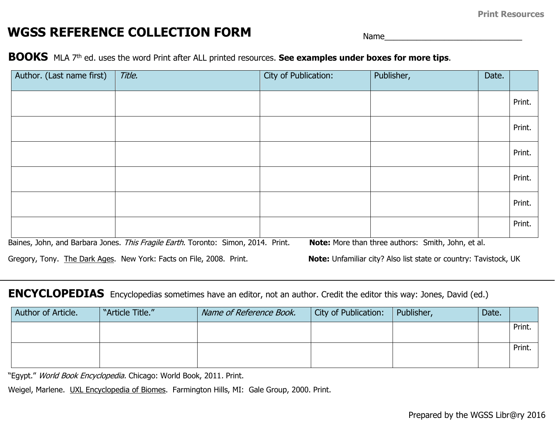## **WGSS REFERENCE COLLECTION FORM Name**

## **BOOKS** MLA 7th ed. uses the word Print after ALL printed resources. **See examples under boxes for more tips**.

| Author. (Last name first) | Title.                                                                                                                                                   | City of Publication: | Publisher,                                                                                                             | Date. |        |
|---------------------------|----------------------------------------------------------------------------------------------------------------------------------------------------------|----------------------|------------------------------------------------------------------------------------------------------------------------|-------|--------|
|                           |                                                                                                                                                          |                      |                                                                                                                        |       | Print. |
|                           |                                                                                                                                                          |                      |                                                                                                                        |       | Print. |
|                           |                                                                                                                                                          |                      |                                                                                                                        |       | Print. |
|                           |                                                                                                                                                          |                      |                                                                                                                        |       | Print. |
|                           |                                                                                                                                                          |                      |                                                                                                                        |       | Print. |
|                           |                                                                                                                                                          |                      |                                                                                                                        |       | Print. |
|                           | Baines, John, and Barbara Jones. This Fragile Earth. Toronto: Simon, 2014. Print.<br>Gregory, Tony. The Dark Ages. New York: Facts on File, 2008. Print. |                      | Note: More than three authors: Smith, John, et al.<br>Note: Unfamiliar city? Also list state or country: Tavistock, UK |       |        |

## **ENCYCLOPEDIAS** Encyclopedias sometimes have an editor, not an author. Credit the editor this way: Jones, David (ed.)

| Author of Article. | "Article Title." | Name of Reference Book. | City of Publication: | Publisher, | Date. |        |
|--------------------|------------------|-------------------------|----------------------|------------|-------|--------|
|                    |                  |                         |                      |            |       | Print. |
|                    |                  |                         |                      |            |       | Print. |
|                    |                  |                         |                      |            |       |        |

"Egypt." World Book Encyclopedia. Chicago: World Book, 2011. Print.

Weigel, Marlene. UXL Encyclopedia of Biomes. Farmington Hills, MI: Gale Group, 2000. Print.